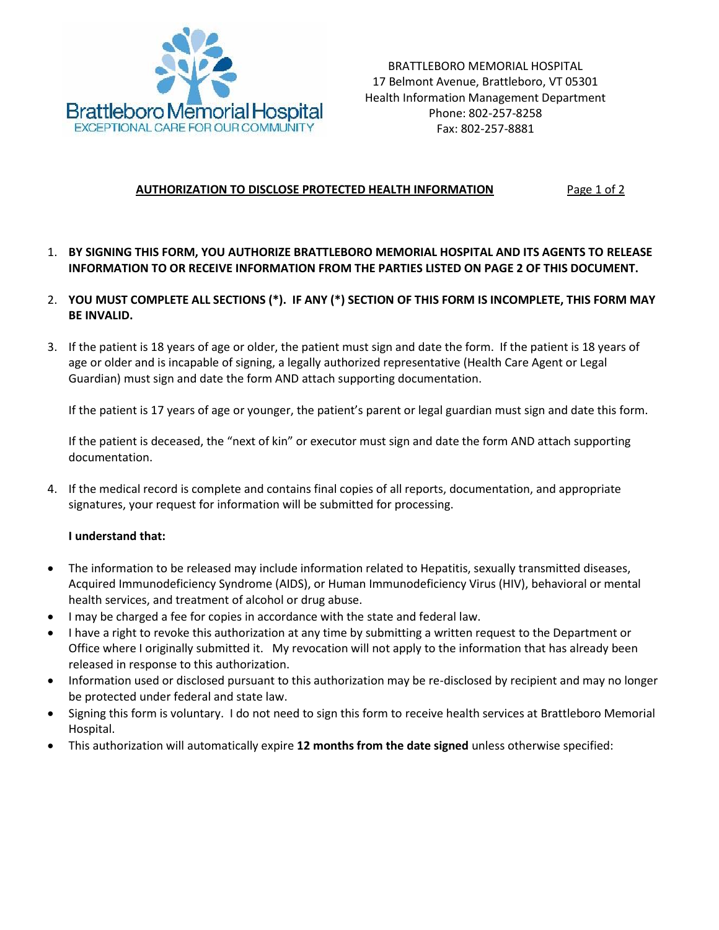

BRATTLEBORO MEMORIAL HOSPITAL 17 Belmont Avenue, Brattleboro, VT 05301 Health Information Management Department Phone: 802-257-8258 Fax: 802-257-8881

## **AUTHORIZATION TO DISCLOSE PROTECTED HEALTH INFORMATION** Page 1 of 2

- 1. **BY SIGNING THIS FORM, YOU AUTHORIZE BRATTLEBORO MEMORIAL HOSPITAL AND ITS AGENTS TO RELEASE INFORMATION TO OR RECEIVE INFORMATION FROM THE PARTIES LISTED ON PAGE 2 OF THIS DOCUMENT.**
- 2. **YOU MUST COMPLETE ALL SECTIONS (\*). IF ANY (\*) SECTION OF THIS FORM IS INCOMPLETE, THIS FORM MAY BE INVALID.**
- 3. If the patient is 18 years of age or older, the patient must sign and date the form. If the patient is 18 years of age or older and is incapable of signing, a legally authorized representative (Health Care Agent or Legal Guardian) must sign and date the form AND attach supporting documentation.

If the patient is 17 years of age or younger, the patient's parent or legal guardian must sign and date this form.

If the patient is deceased, the "next of kin" or executor must sign and date the form AND attach supporting documentation.

4. If the medical record is complete and contains final copies of all reports, documentation, and appropriate signatures, your request for information will be submitted for processing.

## **I understand that:**

- The information to be released may include information related to Hepatitis, sexually transmitted diseases, Acquired Immunodeficiency Syndrome (AIDS), or Human Immunodeficiency Virus (HIV), behavioral or mental health services, and treatment of alcohol or drug abuse.
- I may be charged a fee for copies in accordance with the state and federal law.
- I have a right to revoke this authorization at any time by submitting a written request to the Department or Office where I originally submitted it. My revocation will not apply to the information that has already been released in response to this authorization.
- Information used or disclosed pursuant to this authorization may be re-disclosed by recipient and may no longer be protected under federal and state law.
- Signing this form is voluntary. I do not need to sign this form to receive health services at Brattleboro Memorial Hospital.
- This authorization will automatically expire **12 months from the date signed** unless otherwise specified: